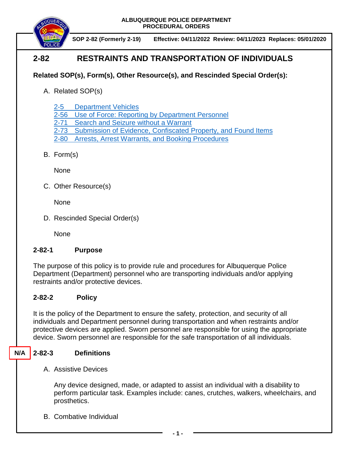

 **SOP 2-82 (Formerly 2-19) Effective: 04/11/2022 Review: 04/11/2023 Replaces: 05/01/2020**

# **2-82 RESTRAINTS AND TRANSPORTATION OF INDIVIDUALS**

## **Related SOP(s), Form(s), Other Resource(s), and Rescinded Special Order(s):**

- A. Related SOP(s)
	- [2-5 Department Vehicles](https://powerdms.com/docs/43?q=2-5)
	- 2-56 [Use of Force: Reporting by Department Personnel](https://powerdms.com/docs/1897084?q=true)
	- 2-71 [Search and Seizure without a Warrant](https://powerdms.com/docs/100?q=2-71)
	- [2-73 Submission of Evidence, Confiscated Property, and Found Items](https://powerdms.com/docs/88?q=2-73)
	- 2-80 [Arrests, Arrest Warrants, and Booking Procedures](https://powerdms.com/docs/97?q=true)
- B. Form(s)

**None** 

C. Other Resource(s)

None

D. Rescinded Special Order(s)

None

### **2-82-1 Purpose**

The purpose of this policy is to provide rule and procedures for Albuquerque Police Department (Department) personnel who are transporting individuals and/or applying restraints and/or protective devices.

## **2-82-2 Policy**

It is the policy of the Department to ensure the safety, protection, and security of all individuals and Department personnel during transportation and when restraints and/or protective devices are applied. Sworn personnel are responsible for using the appropriate device. Sworn personnel are responsible for the safe transportation of all individuals.

#### **2-82-3 Definitions N/A**

A. Assistive Devices

Any device designed, made, or adapted to assist an individual with a disability to perform particular task. Examples include: canes, crutches, walkers, wheelchairs, and prosthetics.

B. Combative Individual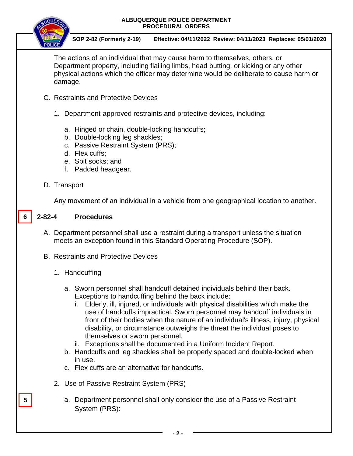

 **SOP 2-82 (Formerly 2-19) Effective: 04/11/2022 Review: 04/11/2023 Replaces: 05/01/2020**

The actions of an individual that may cause harm to themselves, others, or Department property, including flailing limbs, head butting, or kicking or any other physical actions which the officer may determine would be deliberate to cause harm or damage.

- C. Restraints and Protective Devices
	- 1. Department-approved restraints and protective devices, including:
		- a. Hinged or chain, double-locking handcuffs;
		- b. Double-locking leg shackles;
		- c. Passive Restraint System (PRS);
		- d. Flex cuffs;
		- e. Spit socks; and
		- f. Padded headgear.
- D. Transport

Any movement of an individual in a vehicle from one geographical location to another.

#### **2-82-4 Procedures 6**

- A. Department personnel shall use a restraint during a transport unless the situation meets an exception found in this Standard Operating Procedure (SOP).
- B. Restraints and Protective Devices
	- 1. Handcuffing

**5**

- a. Sworn personnel shall handcuff detained individuals behind their back. Exceptions to handcuffing behind the back include:
	- i. Elderly, ill, injured, or individuals with physical disabilities which make the use of handcuffs impractical. Sworn personnel may handcuff individuals in front of their bodies when the nature of an individual's illness, injury, physical disability, or circumstance outweighs the threat the individual poses to themselves or sworn personnel.
	- ii. Exceptions shall be documented in a Uniform Incident Report.
- b. Handcuffs and leg shackles shall be properly spaced and double-locked when in use.
- c. Flex cuffs are an alternative for handcuffs.
- 2. Use of Passive Restraint System (PRS)
	- a. Department personnel shall only consider the use of a Passive Restraint System (PRS):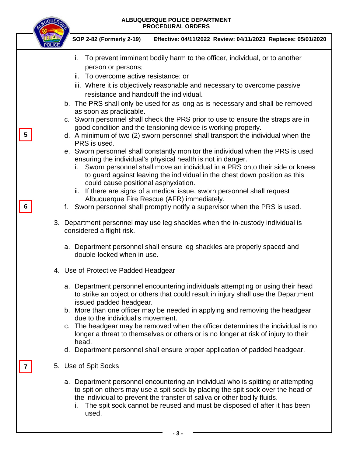|  | ALBUQUERQUE POLICE DEPARTMENT<br><b>PROCEDURAL ORDERS</b>                                                                                                                                                                                                                                                                                                                                                                                                                                                                                                                                                       |
|--|-----------------------------------------------------------------------------------------------------------------------------------------------------------------------------------------------------------------------------------------------------------------------------------------------------------------------------------------------------------------------------------------------------------------------------------------------------------------------------------------------------------------------------------------------------------------------------------------------------------------|
|  | SOP 2-82 (Formerly 2-19)<br>Effective: 04/11/2022 Review: 04/11/2023 Replaces: 05/01/2020                                                                                                                                                                                                                                                                                                                                                                                                                                                                                                                       |
|  | To prevent imminent bodily harm to the officer, individual, or to another<br>i.<br>person or persons;<br>ii. To overcome active resistance; or<br>iii. Where it is objectively reasonable and necessary to overcome passive<br>resistance and handcuff the individual.<br>b. The PRS shall only be used for as long as is necessary and shall be removed<br>as soon as practicable.                                                                                                                                                                                                                             |
|  | c. Sworn personnel shall check the PRS prior to use to ensure the straps are in<br>good condition and the tensioning device is working properly.<br>d. A minimum of two (2) sworn personnel shall transport the individual when the<br>PRS is used.<br>e. Sworn personnel shall constantly monitor the individual when the PRS is used<br>ensuring the individual's physical health is not in danger.<br>Sworn personnel shall move an individual in a PRS onto their side or knees<br>İ.<br>to guard against leaving the individual in the chest down position as this<br>could cause positional asphyxiation. |
|  | ii. If there are signs of a medical issue, sworn personnel shall request<br>Albuquerque Fire Rescue (AFR) immediately.<br>f. Sworn personnel shall promptly notify a supervisor when the PRS is used.<br>3. Department personnel may use leg shackles when the in-custody individual is<br>considered a flight risk.                                                                                                                                                                                                                                                                                            |
|  | a. Department personnel shall ensure leg shackles are properly spaced and<br>double-locked when in use.                                                                                                                                                                                                                                                                                                                                                                                                                                                                                                         |
|  | 4. Use of Protective Padded Headgear                                                                                                                                                                                                                                                                                                                                                                                                                                                                                                                                                                            |
|  | a. Department personnel encountering individuals attempting or using their head<br>to strike an object or others that could result in injury shall use the Department<br>issued padded headgear.<br>b. More than one officer may be needed in applying and removing the headgear<br>due to the individual's movement.<br>c. The headgear may be removed when the officer determines the individual is no<br>longer a threat to themselves or others or is no longer at risk of injury to their<br>head.<br>d. Department personnel shall ensure proper application of padded headgear.                          |
|  | 5. Use of Spit Socks<br>a. Department personnel encountering an individual who is spitting or attempting<br>to spit on others may use a spit sock by placing the spit sock over the head of<br>the individual to prevent the transfer of saliva or other bodily fluids.<br>The spit sock cannot be reused and must be disposed of after it has been<br>used.<br>- 3 -                                                                                                                                                                                                                                           |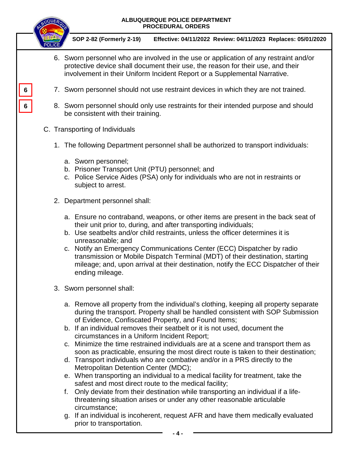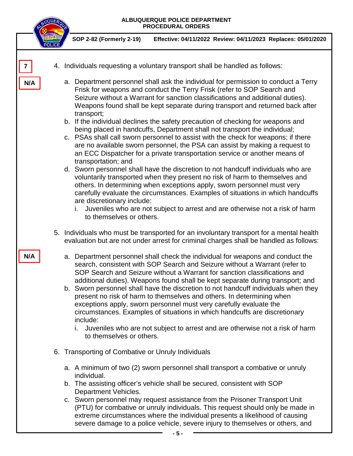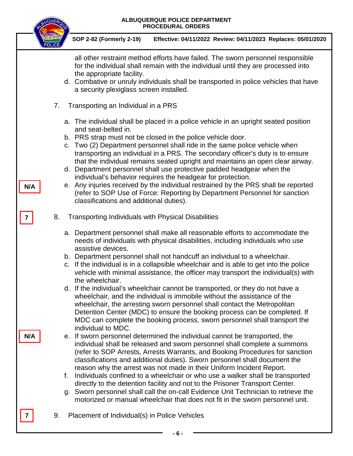